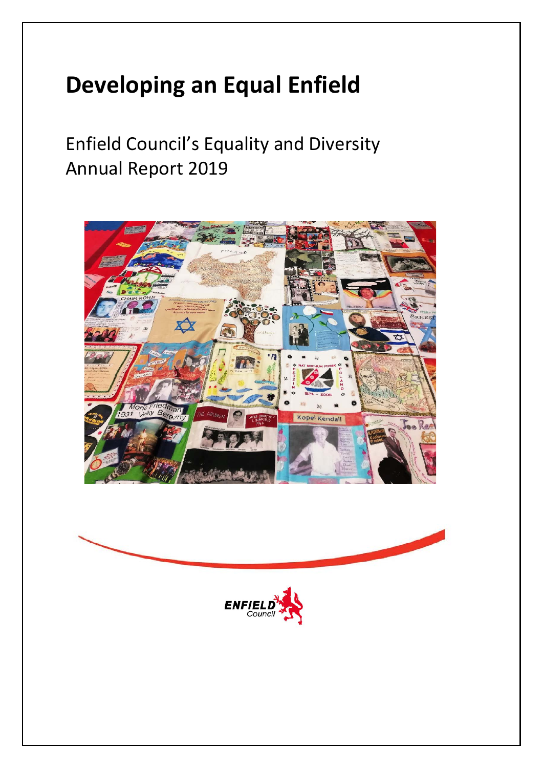## **Developing an Equal Enfield**

Enfield Council's Equality and Diversity Annual Report 2019





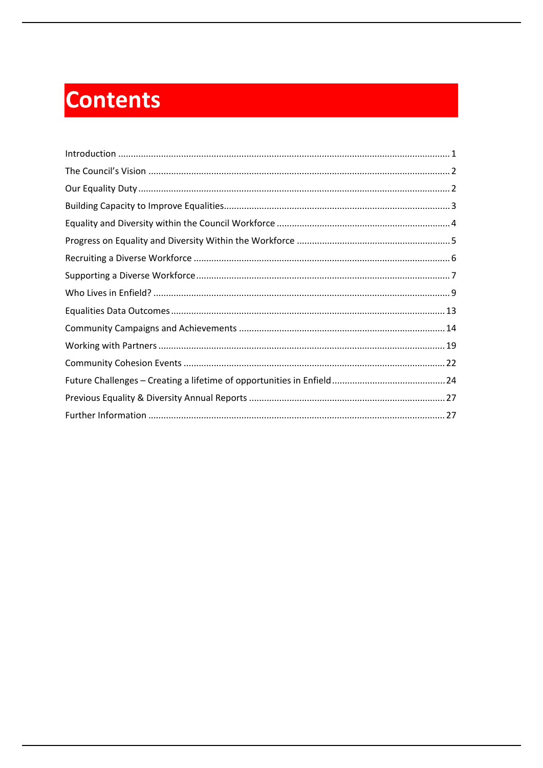# **Contents**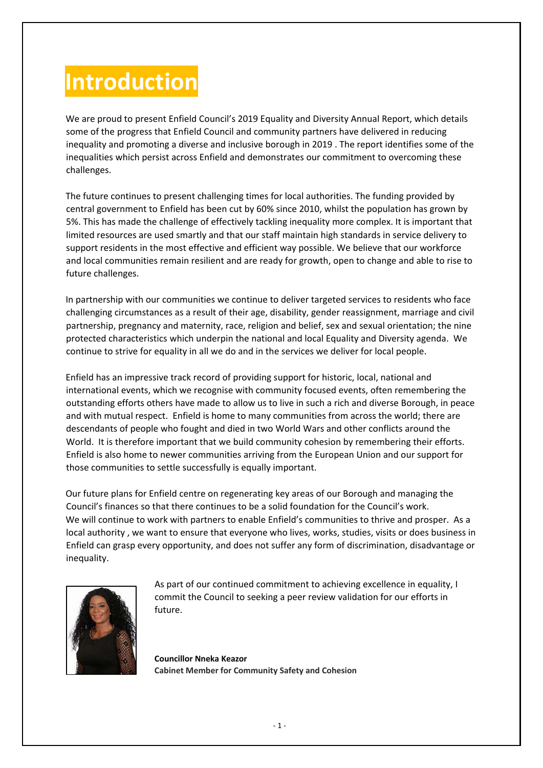## <span id="page-2-0"></span>**Introduction**

We are proud to present Enfield Council's 2019 Equality and Diversity Annual Report, which details some of the progress that Enfield Council and community partners have delivered in reducing inequality and promoting a diverse and inclusive borough in 2019 . The report identifies some of the inequalities which persist across Enfield and demonstrates our commitment to overcoming these challenges.

The future continues to present challenging times for local authorities. The funding provided by central government to Enfield has been cut by 60% since 2010, whilst the population has grown by 5%. This has made the challenge of effectively tackling inequality more complex. It is important that limited resources are used smartly and that our staff maintain high standards in service delivery to support residents in the most effective and efficient way possible. We believe that our workforce and local communities remain resilient and are ready for growth, open to change and able to rise to future challenges.

In partnership with our communities we continue to deliver targeted services to residents who face challenging circumstances as a result of their age, disability, gender reassignment, marriage and civil partnership, pregnancy and maternity, race, religion and belief, sex and sexual orientation; the nine protected characteristics which underpin the national and local Equality and Diversity agenda. We continue to strive for equality in all we do and in the services we deliver for local people.

Enfield has an impressive track record of providing support for historic, local, national and international events, which we recognise with community focused events, often remembering the outstanding efforts others have made to allow us to live in such a rich and diverse Borough, in peace and with mutual respect. Enfield is home to many communities from across the world; there are descendants of people who fought and died in two World Wars and other conflicts around the World. It is therefore important that we build community cohesion by remembering their efforts. Enfield is also home to newer communities arriving from the European Union and our support for those communities to settle successfully is equally important.

Our future plans for Enfield centre on regenerating key areas of our Borough and managing the Council's finances so that there continues to be a solid foundation for the Council's work. We will continue to work with partners to enable Enfield's communities to thrive and prosper. As a local authority , we want to ensure that everyone who lives, works, studies, visits or does business in Enfield can grasp every opportunity, and does not suffer any form of discrimination, disadvantage or inequality.



As part of our continued commitment to achieving excellence in equality, I commit the Council to seeking a peer review validation for our efforts in future.

**Councillor Nneka Keazor Cabinet Member for Community Safety and Cohesion**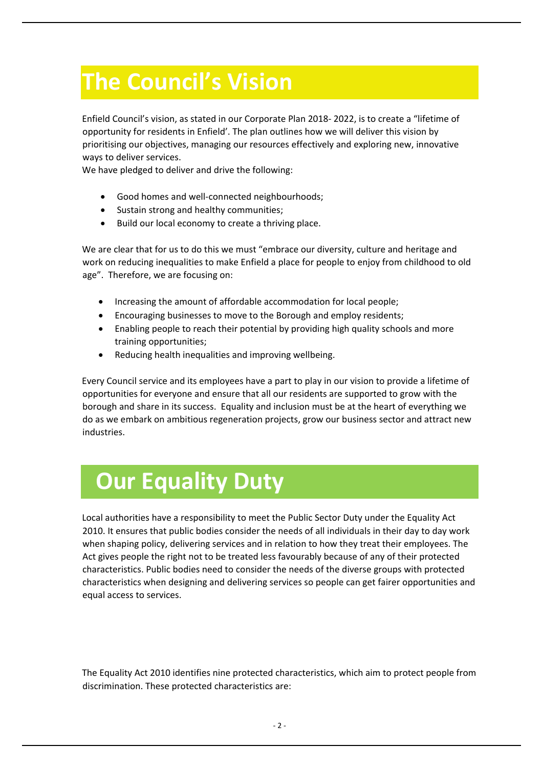## <span id="page-3-0"></span>**The Council's Vision**

Enfield Council's vision, as stated in our Corporate Plan 2018- 2022, is to create a "lifetime of opportunity for residents in Enfield'. The plan outlines how we will deliver this vision by prioritising our objectives, managing our resources effectively and exploring new, innovative ways to deliver services.

We have pledged to deliver and drive the following:

- Good homes and well-connected neighbourhoods;
- Sustain strong and healthy communities;
- Build our local economy to create a thriving place.

We are clear that for us to do this we must "embrace our diversity, culture and heritage and work on reducing inequalities to make Enfield a place for people to enjoy from childhood to old age". Therefore, we are focusing on:

- Increasing the amount of affordable accommodation for local people;
- Encouraging businesses to move to the Borough and employ residents;
- Enabling people to reach their potential by providing high quality schools and more training opportunities;
- Reducing health inequalities and improving wellbeing.

Every Council service and its employees have a part to play in our vision to provide a lifetime of opportunities for everyone and ensure that all our residents are supported to grow with the borough and share in its success. Equality and inclusion must be at the heart of everything we do as we embark on ambitious regeneration projects, grow our business sector and attract new industries.

## <span id="page-3-1"></span> **Our Equality Duty**

Local authorities have a responsibility to meet the Public Sector Duty under the Equality Act 2010. It ensures that public bodies consider the needs of all individuals in their day to day work when shaping policy, delivering services and in relation to how they treat their employees. The Act gives people the right not to be treated less favourably because of any of their protected characteristics. Public bodies need to consider the needs of the diverse groups with protected characteristics when designing and delivering services so people can get fairer opportunities and equal access to services.

The Equality Act 2010 identifies nine protected characteristics, which aim to protect people from discrimination. These protected characteristics are: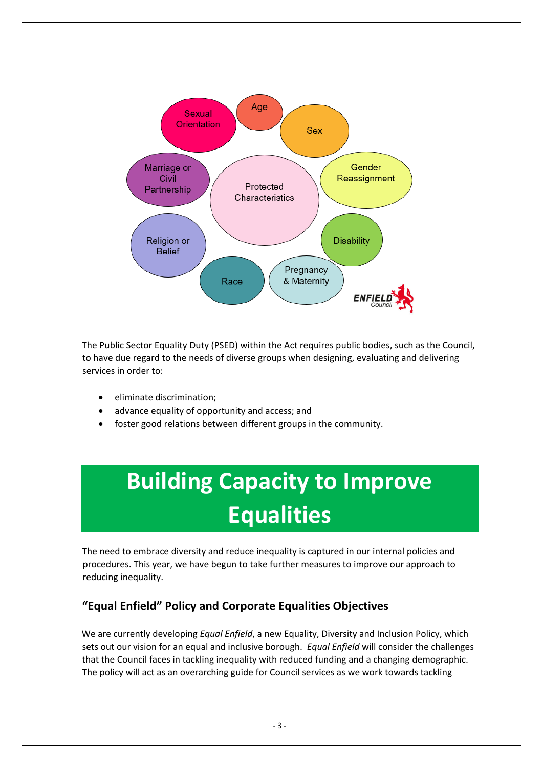

The Public Sector Equality Duty (PSED) within the Act requires public bodies, such as the Council, to have due regard to the needs of diverse groups when designing, evaluating and delivering services in order to:

- eliminate discrimination;
- advance equality of opportunity and access; and
- <span id="page-4-0"></span>foster good relations between different groups in the community.

# **Building Capacity to Improve Equalities**

The need to embrace diversity and reduce inequality is captured in our internal policies and procedures. This year, we have begun to take further measures to improve our approach to reducing inequality.

### **"Equal Enfield" Policy and Corporate Equalities Objectives**

We are currently developing *Equal Enfield*, a new Equality, Diversity and Inclusion Policy, which sets out our vision for an equal and inclusive borough. *Equal Enfield* will consider the challenges that the Council faces in tackling inequality with reduced funding and a changing demographic. The policy will act as an overarching guide for Council services as we work towards tackling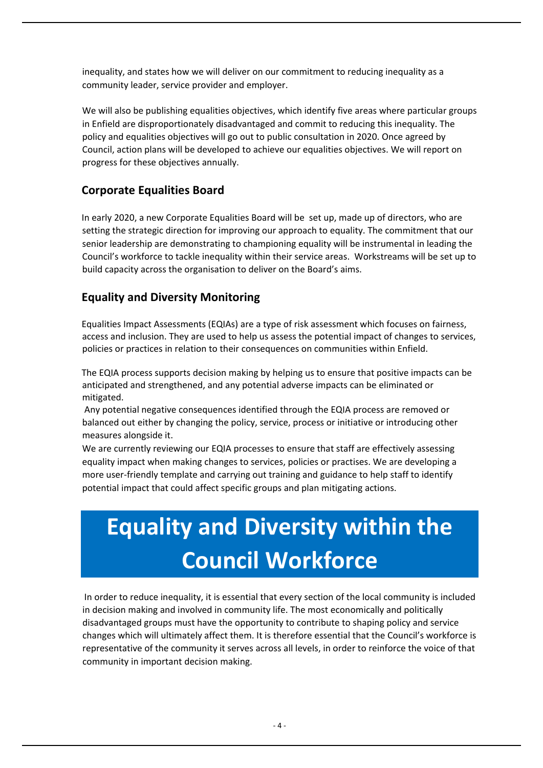inequality, and states how we will deliver on our commitment to reducing inequality as a community leader, service provider and employer.

We will also be publishing equalities objectives, which identify five areas where particular groups in Enfield are disproportionately disadvantaged and commit to reducing this inequality. The policy and equalities objectives will go out to public consultation in 2020. Once agreed by Council, action plans will be developed to achieve our equalities objectives. We will report on progress for these objectives annually.

#### **Corporate Equalities Board**

In early 2020, a new Corporate Equalities Board will be set up, made up of directors, who are setting the strategic direction for improving our approach to equality. The commitment that our senior leadership are demonstrating to championing equality will be instrumental in leading the Council's workforce to tackle inequality within their service areas. Workstreams will be set up to build capacity across the organisation to deliver on the Board's aims.

#### **Equality and Diversity Monitoring**

Equalities Impact Assessments (EQIAs) are a type of risk assessment which focuses on fairness, access and inclusion. They are used to help us assess the potential impact of changes to services, policies or practices in relation to their consequences on communities within Enfield.

The EQIA process supports decision making by helping us to ensure that positive impacts can be anticipated and strengthened, and any potential adverse impacts can be eliminated or mitigated.

Any potential negative consequences identified through the EQIA process are removed or balanced out either by changing the policy, service, process or initiative or introducing other measures alongside it.

We are currently reviewing our EQIA processes to ensure that staff are effectively assessing equality impact when making changes to services, policies or practises. We are developing a more user-friendly template and carrying out training and guidance to help staff to identify potential impact that could affect specific groups and plan mitigating actions.

# <span id="page-5-0"></span>**Equality and Diversity within the Council Workforce**

In order to reduce inequality, it is essential that every section of the local community is included in decision making and involved in community life. The most economically and politically disadvantaged groups must have the opportunity to contribute to shaping policy and service changes which will ultimately affect them. It is therefore essential that the Council's workforce is representative of the community it serves across all levels, in order to reinforce the voice of that community in important decision making.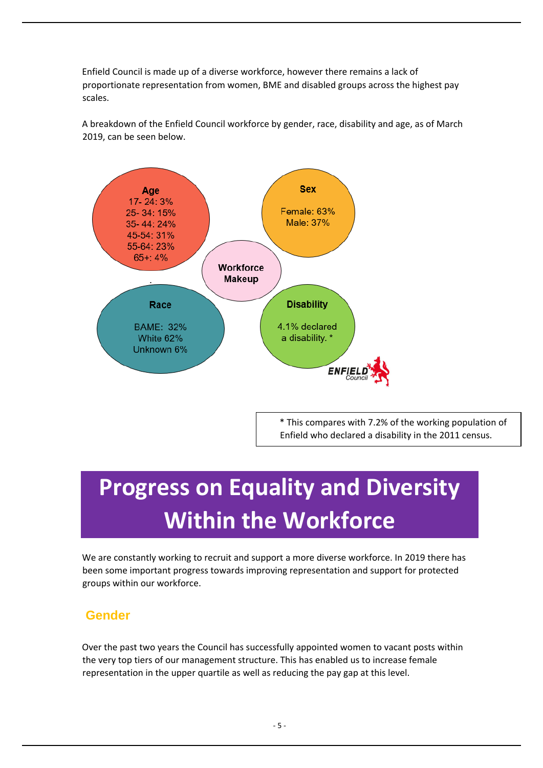Enfield Council is made up of a diverse workforce, however there remains a lack of proportionate representation from women, BME and disabled groups across the highest pay scales.

A breakdown of the Enfield Council workforce by gender, race, disability and age, as of March 2019, can be seen below.



\* This compares with 7.2% of the working population of Enfield who declared a disability in the 2011 census.

# <span id="page-6-0"></span>**Progress on Equality and Diversity Within the Workforce**

We are constantly working to recruit and support a more diverse workforce. In 2019 there has been some important progress towards improving representation and support for protected groups within our workforce.

### **Gender**

Over the past two years the Council has successfully appointed women to vacant posts within the very top tiers of our management structure. This has enabled us to increase female representation in the upper quartile as well as reducing the pay gap at this level.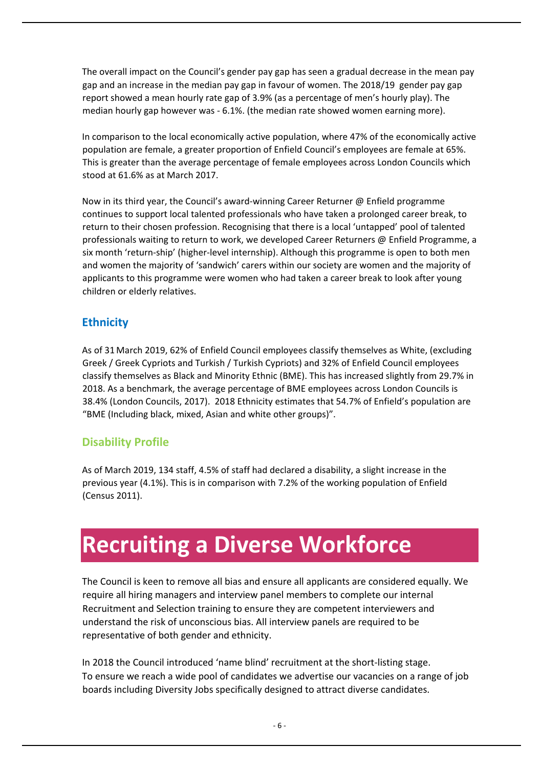The overall impact on the Council's gender pay gap has seen a gradual decrease in the mean pay gap and an increase in the median pay gap in favour of women. The 2018/19 gender pay gap report showed a mean hourly rate gap of 3.9% (as a percentage of men's hourly play). The median hourly gap however was - 6.1%. (the median rate showed women earning more).

In comparison to the local economically active population, where 47% of the economically active population are female, a greater proportion of Enfield Council's employees are female at 65%. This is greater than the average percentage of female employees across London Councils which stood at 61.6% as at March 2017.

Now in its third year, the Council's award-winning Career Returner @ Enfield programme continues to support local talented professionals who have taken a prolonged career break, to return to their chosen profession. Recognising that there is a local 'untapped' pool of talented professionals waiting to return to work, we developed Career Returners @ Enfield Programme, a six month 'return-ship' (higher-level internship). Although this programme is open to both men and women the majority of 'sandwich' carers within our society are women and the majority of applicants to this programme were women who had taken a career break to look after young children or elderly relatives.

### **Ethnicity**

As of 31 March 2019, 62% of Enfield Council employees classify themselves as White, (excluding Greek / Greek Cypriots and Turkish / Turkish Cypriots) and 32% of Enfield Council employees classify themselves as Black and Minority Ethnic (BME). This has increased slightly from 29.7% in 2018. As a benchmark, the average percentage of BME employees across London Councils is 38.4% (London Councils, 2017). 2018 Ethnicity estimates that 54.7% of Enfield's population are "BME (Including black, mixed, Asian and white other groups)".

### **Disability Profile**

As of March 2019, 134 staff, 4.5% of staff had declared a disability, a slight increase in the previous year (4.1%). This is in comparison with 7.2% of the working population of Enfield (Census 2011).

## <span id="page-7-0"></span>**Recruiting a Diverse Workforce**

The Council is keen to remove all bias and ensure all applicants are considered equally. We require all hiring managers and interview panel members to complete our internal Recruitment and Selection training to ensure they are competent interviewers and understand the risk of unconscious bias. All interview panels are required to be representative of both gender and ethnicity.

In 2018 the Council introduced 'name blind' recruitment at the short-listing stage. To ensure we reach a wide pool of candidates we advertise our vacancies on a range of job boards including Diversity Jobs specifically designed to attract diverse candidates.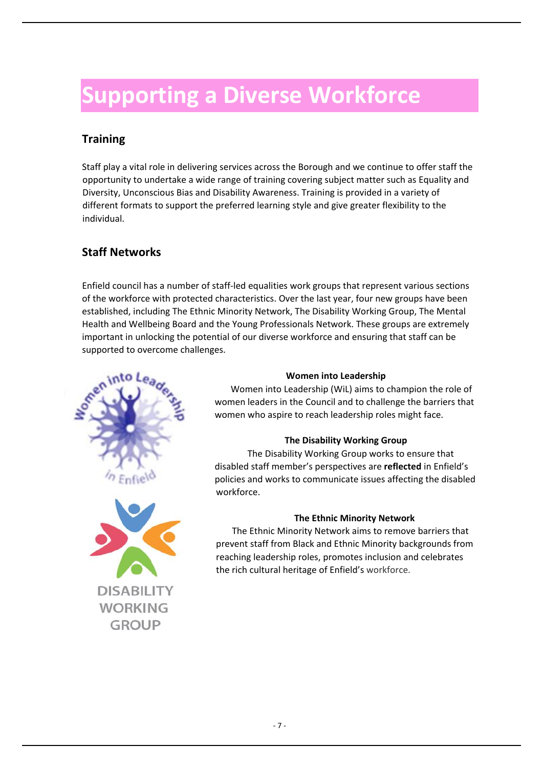## <span id="page-8-0"></span>**Supporting a Diverse Workforce**

### **Training**

Staff play a vital role in delivering services across the Borough and we continue to offer staff the opportunity to undertake a wide range of training covering subject matter such as Equality and Diversity, Unconscious Bias and Disability Awareness. Training is provided in a variety of different formats to support the preferred learning style and give greater flexibility to the individual.

### **Staff Networks**

Enfield council has a number of staff-led equalities work groups that represent various sections of the workforce with protected characteristics. Over the last year, four new groups have been established, including The Ethnic Minority Network, The Disability Working Group, The Mental Health and Wellbeing Board and the Young Professionals Network. These groups are extremely important in unlocking the potential of our diverse workforce and ensuring that staff can be supported to overcome challenges.





#### **Women into Leadership**

Women into Leadership (WiL) aims to champion the role of women leaders in the Council and to challenge the barriers that women who aspire to reach leadership roles might face.

#### **The Disability Working Group**

The Disability Working Group works to ensure that disabled staff member's perspectives are **reflected** in Enfield's policies and works to communicate issues affecting the disabled workforce.

#### **The Ethnic Minority Network**

The Ethnic Minority Network aims to remove barriers that prevent staff from Black and Ethnic Minority backgrounds from reaching leadership roles, promotes inclusion and celebrates the rich cultural heritage of Enfield's workforce.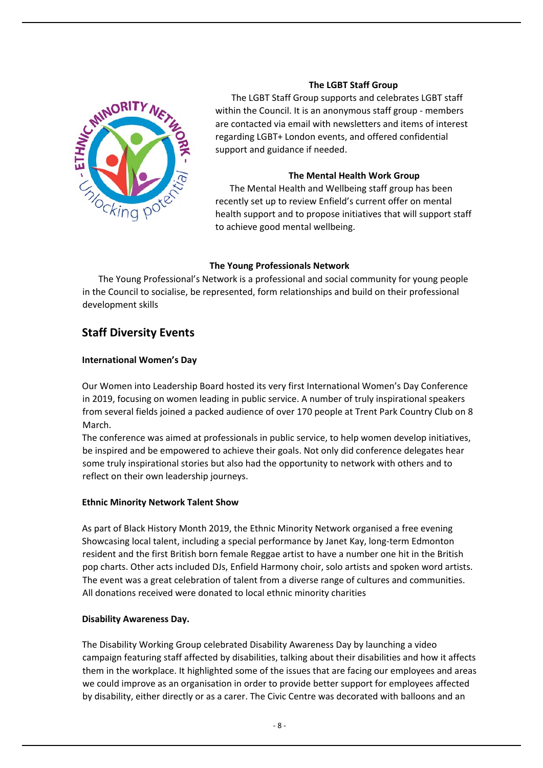

#### **The LGBT Staff Group**

The LGBT Staff Group supports and celebrates LGBT staff within the Council. It is an anonymous staff group - members are contacted via email with newsletters and items of interest regarding LGBT+ London events, and offered confidential support and guidance if needed.

#### **The Mental Health Work Group**

The Mental Health and Wellbeing staff group has been recently set up to review Enfield's current offer on mental health support and to propose initiatives that will support staff to achieve good mental wellbeing.

#### **The Young Professionals Network**

The Young Professional's Network is a professional and social community for young people in the Council to socialise, be represented, form relationships and build on their professional development skills

#### **Staff Diversity Events**

#### **International Women's Day**

Our Women into Leadership Board hosted its very first International Women's Day Conference in 2019, focusing on women leading in public service. A number of truly inspirational speakers from several fields joined a packed audience of over 170 people at Trent Park Country Club on 8 March.

The conference was aimed at professionals in public service, to help women develop initiatives, be inspired and be empowered to achieve their goals. Not only did conference delegates hear some truly inspirational stories but also had the opportunity to network with others and to reflect on their own leadership journeys.

#### **Ethnic Minority Network Talent Show**

As part of Black History Month 2019, the Ethnic Minority Network organised a free evening Showcasing local talent, including a special performance by Janet Kay, long-term Edmonton resident and the first British born female Reggae artist to have a number one hit in the British pop charts. Other acts included DJs, Enfield Harmony choir, solo artists and spoken word artists. The event was a great celebration of talent from a diverse range of cultures and communities. All donations received were donated to local ethnic minority charities

#### **Disability Awareness Day.**

The Disability Working Group celebrated Disability Awareness Day by launching a video campaign featuring staff affected by disabilities, talking about their disabilities and how it affects them in the workplace. It highlighted some of the issues that are facing our employees and areas we could improve as an organisation in order to provide better support for employees affected by disability, either directly or as a carer. The Civic Centre was decorated with balloons and an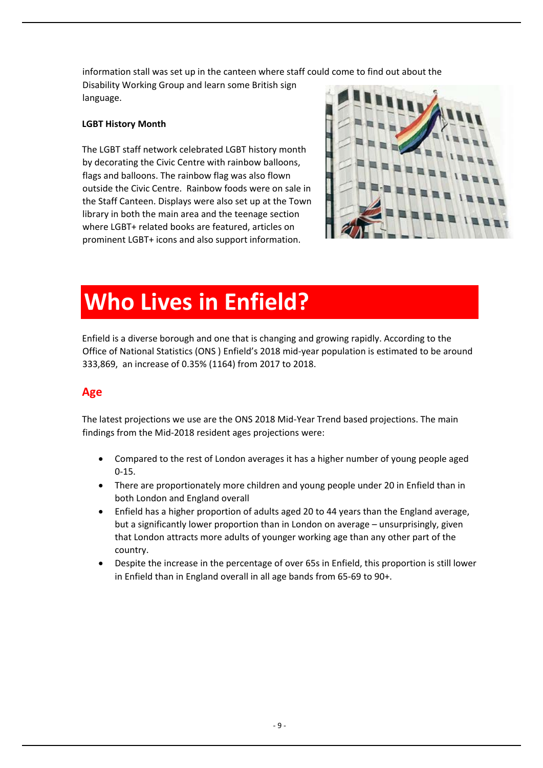information stall was set up in the canteen where staff could come to find out about the

Disability Working Group and learn some British sign language.

#### **LGBT History Month**

The LGBT staff network celebrated LGBT history month by decorating the Civic Centre with rainbow balloons, flags and balloons. The rainbow flag was also flown outside the Civic Centre. Rainbow foods were on sale in the Staff Canteen. Displays were also set up at the Town library in both the main area and the teenage section where LGBT+ related books are featured, articles on prominent LGBT+ icons and also support information.



## <span id="page-10-0"></span>**Who Lives in Enfield?**

Enfield is a diverse borough and one that is changing and growing rapidly. According to the Office of National Statistics (ONS ) Enfield's 2018 mid-year population is estimated to be around 333,869, an increase of 0.35% (1164) from 2017 to 2018.

### **Age**

The latest projections we use are the ONS 2018 Mid-Year Trend based projections. The main findings from the Mid-2018 resident ages projections were:

- Compared to the rest of London averages it has a higher number of young people aged 0-15.
- There are proportionately more children and young people under 20 in Enfield than in both London and England overall
- Enfield has a higher proportion of adults aged 20 to 44 years than the England average, but a significantly lower proportion than in London on average – unsurprisingly, given that London attracts more adults of younger working age than any other part of the country.
- Despite the increase in the percentage of over 65s in Enfield, this proportion is still lower in Enfield than in England overall in all age bands from 65-69 to 90+.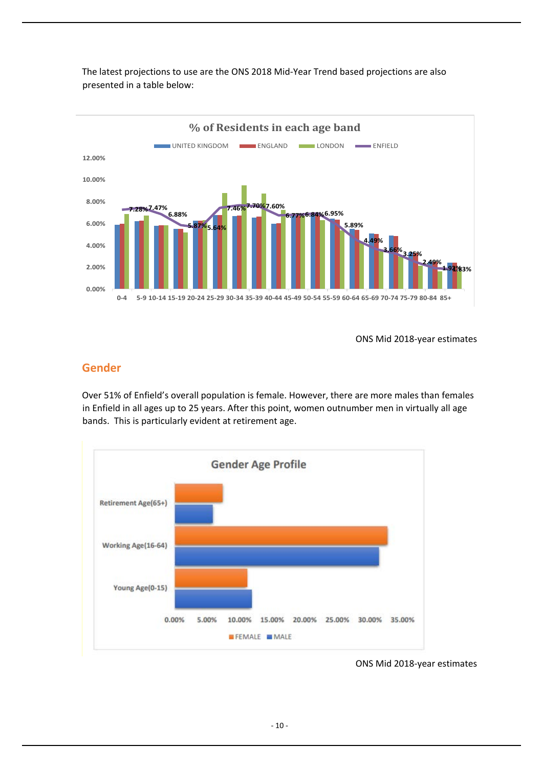

The latest projections to use are the ONS 2018 Mid-Year Trend based projections are also presented in a table below:

ONS Mid 2018-year estimates

#### **Gender**

Over 51% of Enfield's overall population is female. However, there are more males than females in Enfield in all ages up to 25 years. After this point, women outnumber men in virtually all age bands. This is particularly evident at retirement age.



ONS Mid 2018-year estimates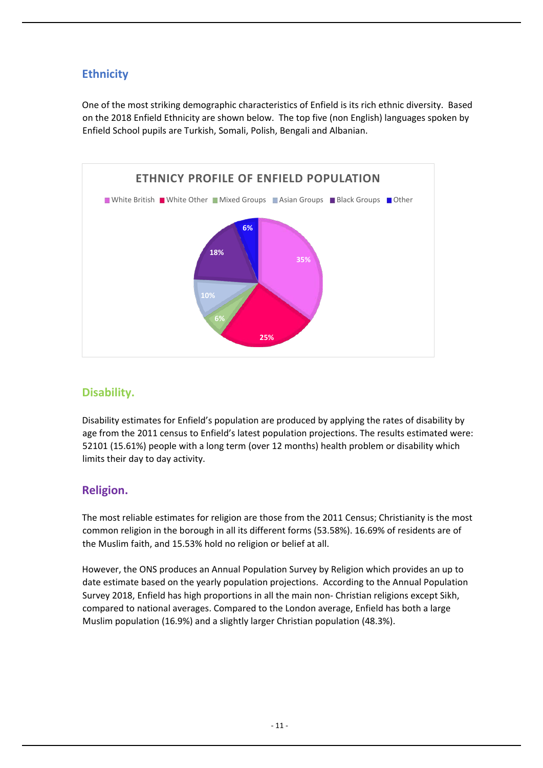### **Ethnicity**

One of the most striking demographic characteristics of Enfield is its rich ethnic diversity. Based on the 2018 Enfield Ethnicity are shown below. The top five (non English) languages spoken by Enfield School pupils are Turkish, Somali, Polish, Bengali and Albanian.



### **Disability.**

Disability estimates for Enfield's population are produced by applying the rates of disability by age from the 2011 census to Enfield's latest population projections. The results estimated were: 52101 (15.61%) people with a long term (over 12 months) health problem or disability which limits their day to day activity.

### **Religion.**

The most reliable estimates for religion are those from the 2011 Census; Christianity is the most common religion in the borough in all its different forms (53.58%). 16.69% of residents are of the Muslim faith, and 15.53% hold no religion or belief at all.

However, the ONS produces an Annual Population Survey by Religion which provides an up to date estimate based on the yearly population projections. According to the Annual Population Survey 2018, Enfield has high proportions in all the main non- Christian religions except Sikh, compared to national averages. Compared to the London average, Enfield has both a large Muslim population (16.9%) and a slightly larger Christian population (48.3%).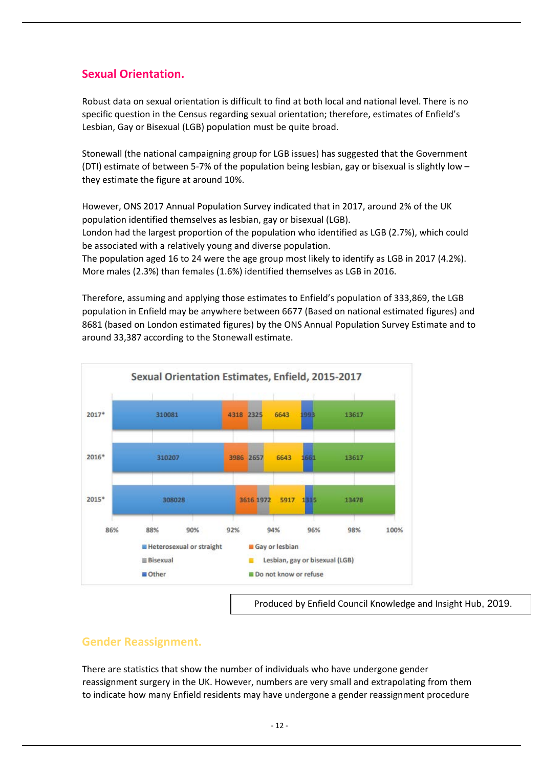### **Sexual Orientation.**

Robust data on sexual orientation is difficult to find at both local and national level. There is no specific question in the Census regarding sexual orientation; therefore, estimates of Enfield's Lesbian, Gay or Bisexual (LGB) population must be quite broad.

Stonewall (the national campaigning group for LGB issues) has suggested that the Government (DTI) estimate of between 5-7% of the population being lesbian, gay or bisexual is slightly low – they estimate the figure at around 10%.

However, ONS 2017 Annual Population Survey indicated that in 2017, around 2% of the UK population identified themselves as lesbian, gay or bisexual (LGB).

London had the largest proportion of the population who identified as LGB (2.7%), which could be associated with a relatively young and diverse population.

The population aged 16 to 24 were the age group most likely to identify as LGB in 2017 (4.2%). More males (2.3%) than females (1.6%) identified themselves as LGB in 2016.

Therefore, assuming and applying those estimates to Enfield's population of 333,869, the LGB population in Enfield may be anywhere between 6677 (Based on national estimated figures) and 8681 (based on London estimated figures) by the ONS Annual Population Survey Estimate and to around 33,387 according to the Stonewall estimate.



#### **Gender Reassignment.**

There are statistics that show the number of individuals who have undergone gender reassignment surgery in the UK. However, numbers are very small and extrapolating from them to indicate how many Enfield residents may have undergone a gender reassignment procedure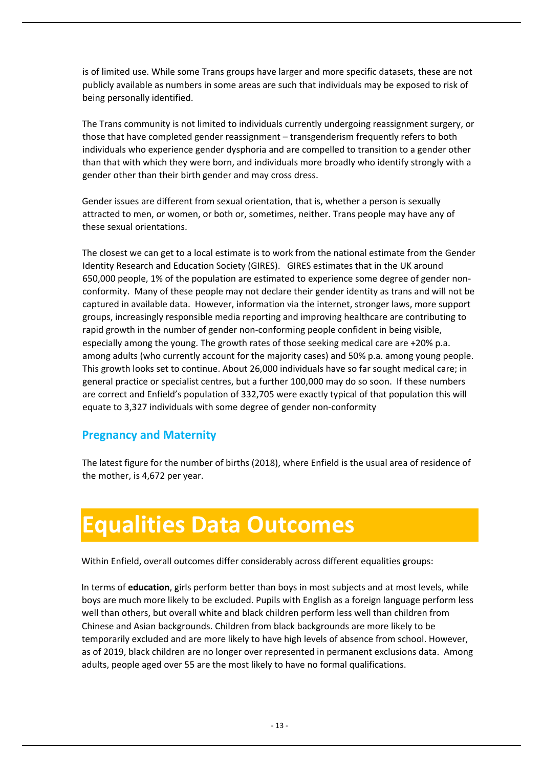is of limited use. While some Trans groups have larger and more specific datasets, these are not publicly available as numbers in some areas are such that individuals may be exposed to risk of being personally identified.

The Trans community is not limited to individuals currently undergoing reassignment surgery, or those that have completed gender reassignment – transgenderism frequently refers to both individuals who experience gender dysphoria and are compelled to transition to a gender other than that with which they were born, and individuals more broadly who identify strongly with a gender other than their birth gender and may cross dress.

Gender issues are different from sexual orientation, that is, whether a person is sexually attracted to men, or women, or both or, sometimes, neither. Trans people may have any of these sexual orientations.

The closest we can get to a local estimate is to work from the national estimate from the Gender Identity Research and Education Society (GIRES). GIRES estimates that in the UK around 650,000 people, 1% of the population are estimated to experience some degree of gender nonconformity. Many of these people may not declare their gender identity as trans and will not be captured in available data. However, information via the internet, stronger laws, more support groups, increasingly responsible media reporting and improving healthcare are contributing to rapid growth in the number of gender non-conforming people confident in being visible, especially among the young. The growth rates of those seeking medical care are +20% p.a. among adults (who currently account for the majority cases) and 50% p.a. among young people. This growth looks set to continue. About 26,000 individuals have so far sought medical care; in general practice or specialist centres, but a further 100,000 may do so soon. If these numbers are correct and Enfield's population of 332,705 were exactly typical of that population this will equate to 3,327 individuals with some degree of gender non-conformity

#### **Pregnancy and Maternity**

The latest figure for the number of births (2018), where Enfield is the usual area of residence of the mother, is 4,672 per year.

## <span id="page-14-0"></span>**Equalities Data Outcomes**

Within Enfield, overall outcomes differ considerably across different equalities groups:

In terms of **education**, girls perform better than boys in most subjects and at most levels, while boys are much more likely to be excluded. Pupils with English as a foreign language perform less well than others, but overall white and black children perform less well than children from Chinese and Asian backgrounds. Children from black backgrounds are more likely to be temporarily excluded and are more likely to have high levels of absence from school. However, as of 2019, black children are no longer over represented in permanent exclusions data. Among adults, people aged over 55 are the most likely to have no formal qualifications.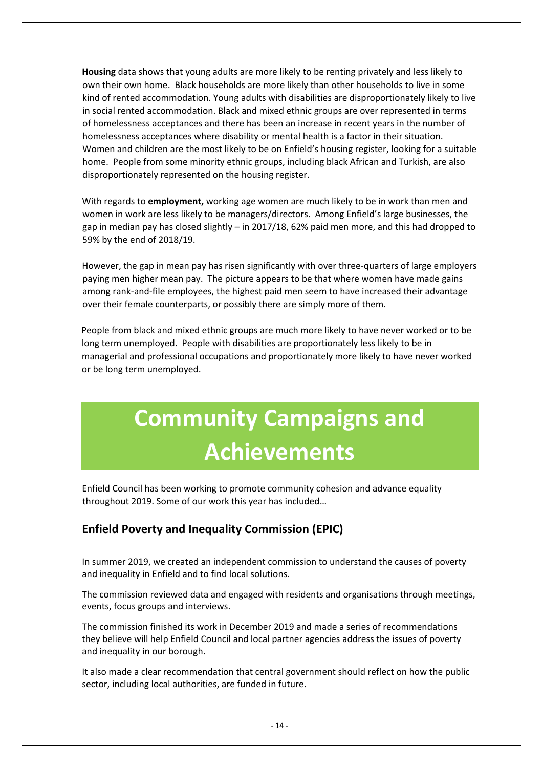**Housing** data shows that young adults are more likely to be renting privately and less likely to own their own home. Black households are more likely than other households to live in some kind of rented accommodation. Young adults with disabilities are disproportionately likely to live in social rented accommodation. Black and mixed ethnic groups are over represented in terms of homelessness acceptances and there has been an increase in recent years in the number of homelessness acceptances where disability or mental health is a factor in their situation. Women and children are the most likely to be on Enfield's housing register, looking for a suitable home. People from some minority ethnic groups, including black African and Turkish, are also disproportionately represented on the housing register.

With regards to **employment,** working age women are much likely to be in work than men and women in work are less likely to be managers/directors. Among Enfield's large businesses, the gap in median pay has closed slightly – in 2017/18, 62% paid men more, and this had dropped to 59% by the end of 2018/19.

However, the gap in mean pay has risen significantly with over three-quarters of large employers paying men higher mean pay. The picture appears to be that where women have made gains among rank-and-file employees, the highest paid men seem to have increased their advantage over their female counterparts, or possibly there are simply more of them.

People from black and mixed ethnic groups are much more likely to have never worked or to be long term unemployed. People with disabilities are proportionately less likely to be in managerial and professional occupations and proportionately more likely to have never worked or be long term unemployed.

# <span id="page-15-0"></span>**Community Campaigns and Achievements**

Enfield Council has been working to promote community cohesion and advance equality throughout 2019. Some of our work this year has included…

### **Enfield Poverty and Inequality Commission (EPIC)**

In summer 2019, we created an independent commission to understand the causes of poverty and inequality in Enfield and to find local solutions.

The commission reviewed data and engaged with residents and organisations through meetings, events, focus groups and interviews.

The commission finished its work in December 2019 and made a series of recommendations they believe will help Enfield Council and local partner agencies address the issues of poverty and inequality in our borough.

It also made a clear recommendation that central government should reflect on how the public sector, including local authorities, are funded in future.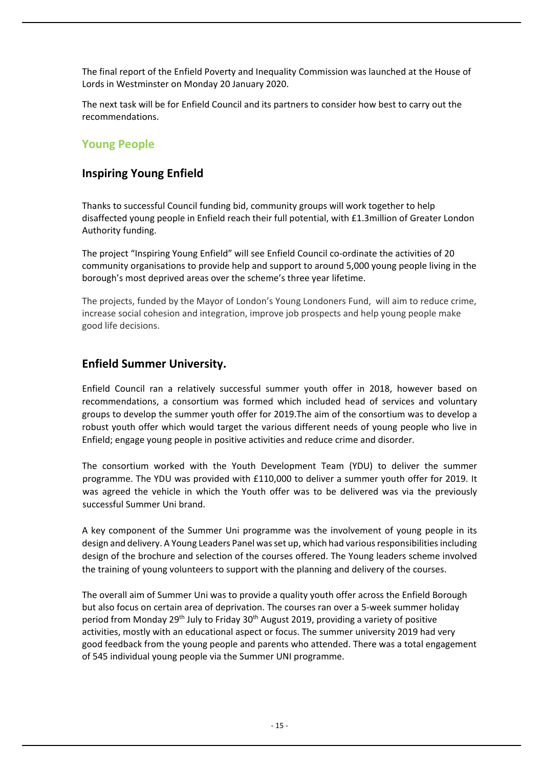The final report of the Enfield Poverty and Inequality Commission was launched at the House of Lords in Westminster on Monday 20 January 2020.

The next task will be for Enfield Council and its partners to consider how best to carry out the recommendations.

#### **Young People**

#### **Inspiring Young Enfield**

Thanks to successful Council funding bid, community groups will work together to help disaffected young people in Enfield reach their full potential, with £1.3million of Greater London Authority funding.

The project "Inspiring Young Enfield" will see Enfield Council co-ordinate the activities of 20 community organisations to provide help and support to around 5,000 young people living in the borough's most deprived areas over the scheme's three year lifetime.

The projects, funded by the Mayor of London's Young Londoners Fund, will aim to reduce crime, increase social cohesion and integration, improve job prospects and help young people make good life decisions.

#### **Enfield Summer University.**

Enfield Council ran a relatively successful summer youth offer in 2018, however based on recommendations, a consortium was formed which included head of services and voluntary groups to develop the summer youth offer for 2019.The aim of the consortium was to develop a robust youth offer which would target the various different needs of young people who live in Enfield; engage young people in positive activities and reduce crime and disorder.

The consortium worked with the Youth Development Team (YDU) to deliver the summer programme. The YDU was provided with £110,000 to deliver a summer youth offer for 2019. It was agreed the vehicle in which the Youth offer was to be delivered was via the previously successful Summer Uni brand.

A key component of the Summer Uni programme was the involvement of young people in its design and delivery. A Young Leaders Panel was set up, which had various responsibilities including design of the brochure and selection of the courses offered. The Young leaders scheme involved the training of young volunteers to support with the planning and delivery of the courses.

The overall aim of Summer Uni was to provide a quality youth offer across the Enfield Borough but also focus on certain area of deprivation. The courses ran over a 5-week summer holiday period from Monday 29<sup>th</sup> July to Friday 30<sup>th</sup> August 2019, providing a variety of positive activities, mostly with an educational aspect or focus. The summer university 2019 had very good feedback from the young people and parents who attended. There was a total engagement of 545 individual young people via the Summer UNI programme.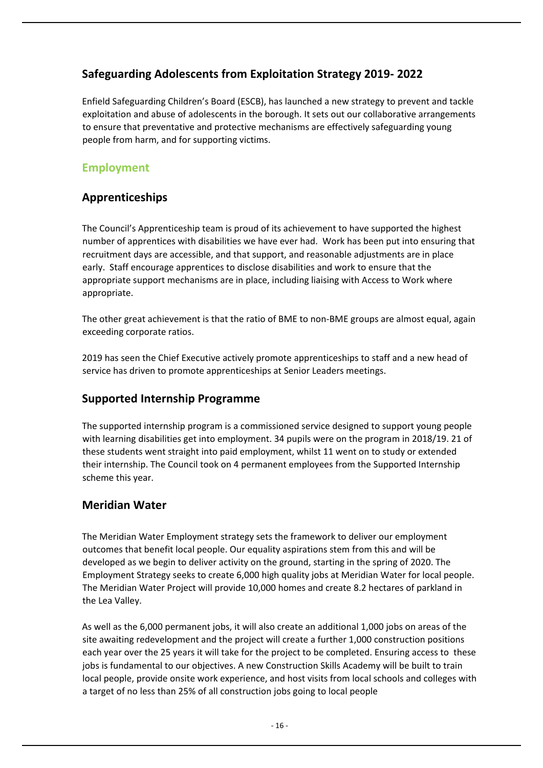### **Safeguarding Adolescents from Exploitation Strategy 2019- 2022**

Enfield Safeguarding Children's Board (ESCB), has launched a new strategy to prevent and tackle exploitation and abuse of adolescents in the borough. It sets out our collaborative arrangements to ensure that preventative and protective mechanisms are effectively safeguarding young people from harm, and for supporting victims.

### **Employment**

### **Apprenticeships**

The Council's Apprenticeship team is proud of its achievement to have supported the highest number of apprentices with disabilities we have ever had. Work has been put into ensuring that recruitment days are accessible, and that support, and reasonable adjustments are in place early. Staff encourage apprentices to disclose disabilities and work to ensure that the appropriate support mechanisms are in place, including liaising with Access to Work where appropriate.

The other great achievement is that the ratio of BME to non-BME groups are almost equal, again exceeding corporate ratios.

2019 has seen the Chief Executive actively promote apprenticeships to staff and a new head of service has driven to promote apprenticeships at Senior Leaders meetings.

#### **Supported Internship Programme**

The supported internship program is a commissioned service designed to support young people with learning disabilities get into employment. 34 pupils were on the program in 2018/19. 21 of these students went straight into paid employment, whilst 11 went on to study or extended their internship. The Council took on 4 permanent employees from the Supported Internship scheme this year.

### **Meridian Water**

The Meridian Water Employment strategy sets the framework to deliver our employment outcomes that benefit local people. Our equality aspirations stem from this and will be developed as we begin to deliver activity on the ground, starting in the spring of 2020. The Employment Strategy seeks to create 6,000 high quality jobs at Meridian Water for local people. The Meridian Water Project will provide 10,000 homes and create 8.2 hectares of parkland in the Lea Valley.

As well as the 6,000 permanent jobs, it will also create an additional 1,000 jobs on areas of the site awaiting redevelopment and the project will create a further 1,000 construction positions each year over the 25 years it will take for the project to be completed. Ensuring access to these jobs is fundamental to our objectives. A new Construction Skills Academy will be built to train local people, provide onsite work experience, and host visits from local schools and colleges with a target of no less than 25% of all construction jobs going to local people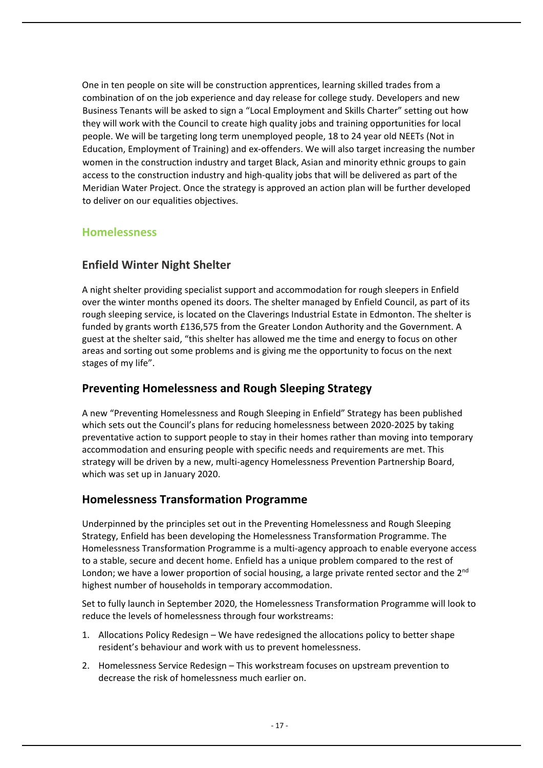One in ten people on site will be construction apprentices, learning skilled trades from a combination of on the job experience and day release for college study. Developers and new Business Tenants will be asked to sign a "Local Employment and Skills Charter" setting out how they will work with the Council to create high quality jobs and training opportunities for local people. We will be targeting long term unemployed people, 18 to 24 year old NEETs (Not in Education, Employment of Training) and ex-offenders. We will also target increasing the number women in the construction industry and target Black, Asian and minority ethnic groups to gain access to the construction industry and high-quality jobs that will be delivered as part of the Meridian Water Project. Once the strategy is approved an action plan will be further developed to deliver on our equalities objectives.

### **Homelessness**

### **Enfield Winter Night Shelter**

A night shelter providing specialist support and accommodation for rough sleepers in Enfield over the winter months opened its doors. The shelter managed by Enfield Council, as part of its rough sleeping service, is located on the Claverings Industrial Estate in Edmonton. The shelter is funded by grants worth £136,575 from the Greater London Authority and the Government. A guest at the shelter said, "this shelter has allowed me the time and energy to focus on other areas and sorting out some problems and is giving me the opportunity to focus on the next stages of my life".

#### **Preventing Homelessness and Rough Sleeping Strategy**

A new "Preventing Homelessness and Rough Sleeping in Enfield" Strategy has been published which sets out the Council's plans for reducing homelessness between 2020-2025 by taking preventative action to support people to stay in their homes rather than moving into temporary accommodation and ensuring people with specific needs and requirements are met. This strategy will be driven by a new, multi-agency Homelessness Prevention Partnership Board, which was set up in January 2020.

#### **Homelessness Transformation Programme**

Underpinned by the principles set out in the Preventing Homelessness and Rough Sleeping Strategy, Enfield has been developing the Homelessness Transformation Programme. The Homelessness Transformation Programme is a multi-agency approach to enable everyone access to a stable, secure and decent home. Enfield has a unique problem compared to the rest of London; we have a lower proportion of social housing, a large private rented sector and the 2<sup>nd</sup> highest number of households in temporary accommodation.

Set to fully launch in September 2020, the Homelessness Transformation Programme will look to reduce the levels of homelessness through four workstreams:

- 1. Allocations Policy Redesign We have redesigned the allocations policy to better shape resident's behaviour and work with us to prevent homelessness.
- 2. Homelessness Service Redesign This workstream focuses on upstream prevention to decrease the risk of homelessness much earlier on.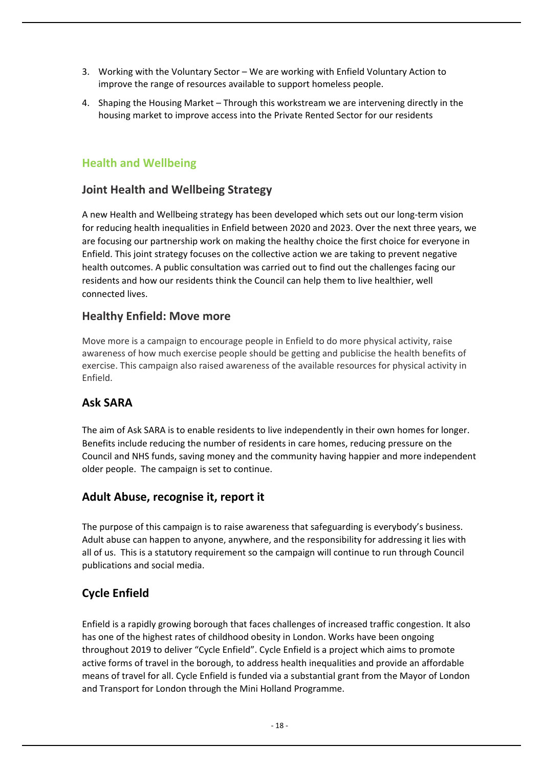- 3. Working with the Voluntary Sector We are working with Enfield Voluntary Action to improve the range of resources available to support homeless people.
- 4. Shaping the Housing Market Through this workstream we are intervening directly in the housing market to improve access into the Private Rented Sector for our residents

#### **Health and Wellbeing**

#### **Joint Health and Wellbeing Strategy**

A new Health and Wellbeing strategy has been developed which sets out our long-term vision for reducing health inequalities in Enfield between 2020 and 2023. Over the next three years, we are focusing our partnership work on making the healthy choice the first choice for everyone in Enfield. This joint strategy focuses on the collective action we are taking to prevent negative health outcomes. A public consultation was carried out to find out the challenges facing our residents and how our residents think the Council can help them to live healthier, well connected lives.

#### **Healthy Enfield: Move more**

Move more is a campaign to encourage people in Enfield to do more physical activity, raise awareness of how much exercise people should be getting and publicise the health benefits of exercise. This campaign also raised awareness of the available resources for physical activity in Enfield.

#### **Ask SARA**

The aim of Ask SARA is to enable residents to live independently in their own homes for longer. Benefits include reducing the number of residents in care homes, reducing pressure on the Council and NHS funds, saving money and the community having happier and more independent older people. The campaign is set to continue.

#### **Adult Abuse, recognise it, report it**

The purpose of this campaign is to raise awareness that safeguarding is everybody's business. Adult abuse can happen to anyone, anywhere, and the responsibility for addressing it lies with all of us. This is a statutory requirement so the campaign will continue to run through Council publications and social media.

#### **Cycle Enfield**

Enfield is a rapidly growing borough that faces challenges of increased traffic congestion. It also has one of the highest rates of childhood obesity in London. Works have been ongoing throughout 2019 to deliver "Cycle Enfield". Cycle Enfield is a project which aims to promote active forms of travel in the borough, to address health inequalities and provide an affordable means of travel for all. Cycle Enfield is funded via a substantial grant from the Mayor of London and Transport for London through the Mini Holland Programme.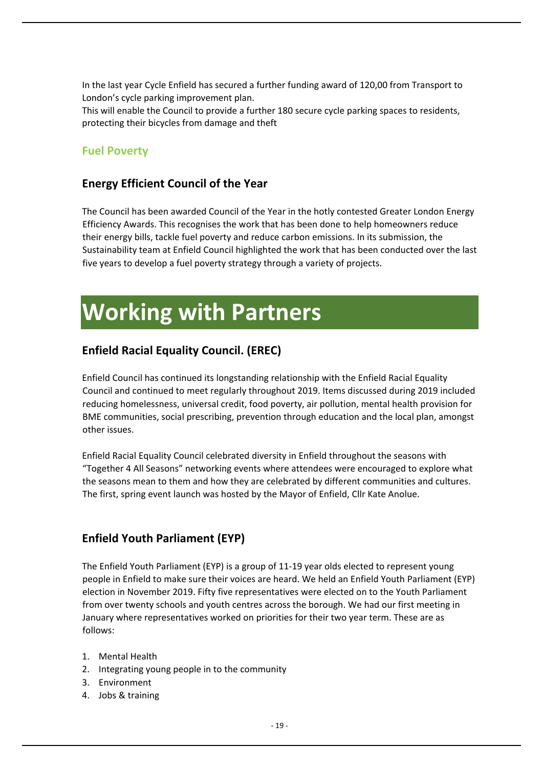In the last year Cycle Enfield has secured a further funding award of 120,00 from Transport to London's cycle parking improvement plan.

This will enable the Council to provide a further 180 secure cycle parking spaces to residents, protecting their bicycles from damage and theft

#### **Fuel Poverty**

#### **Energy Efficient Council of the Year**

The Council has been awarded Council of the Year in the hotly contested Greater London Energy Efficiency Awards. This recognises the work that has been done to help homeowners reduce their energy bills, tackle fuel poverty and reduce carbon emissions. In its submission, the Sustainability team at Enfield Council highlighted the work that has been conducted over the last five years to develop a fuel poverty strategy through a variety of projects.

## <span id="page-20-0"></span>**Working with Partners**

#### **Enfield Racial Equality Council. (EREC)**

Enfield Council has continued its longstanding relationship with the Enfield Racial Equality Council and continued to meet regularly throughout 2019. Items discussed during 2019 included reducing homelessness, universal credit, food poverty, air pollution, mental health provision for BME communities, social prescribing, prevention through education and the local plan, amongst other issues.

Enfield Racial Equality Council celebrated diversity in Enfield throughout the seasons with "Together 4 All Seasons" networking events where attendees were encouraged to explore what the seasons mean to them and how they are celebrated by different communities and cultures. The first, spring event launch was hosted by the Mayor of Enfield, Cllr Kate Anolue.

#### **Enfield Youth Parliament (EYP)**

The Enfield Youth Parliament (EYP) is a group of 11-19 year olds elected to represent young people in Enfield to make sure their voices are heard. We held an Enfield Youth Parliament (EYP) election in November 2019. Fifty five representatives were elected on to the Youth Parliament from over twenty schools and youth centres across the borough. We had our first meeting in January where representatives worked on priorities for their two year term. These are as follows:

- 1. Mental Health
- 2. Integrating young people in to the community
- 3. Environment
- 4. Jobs & training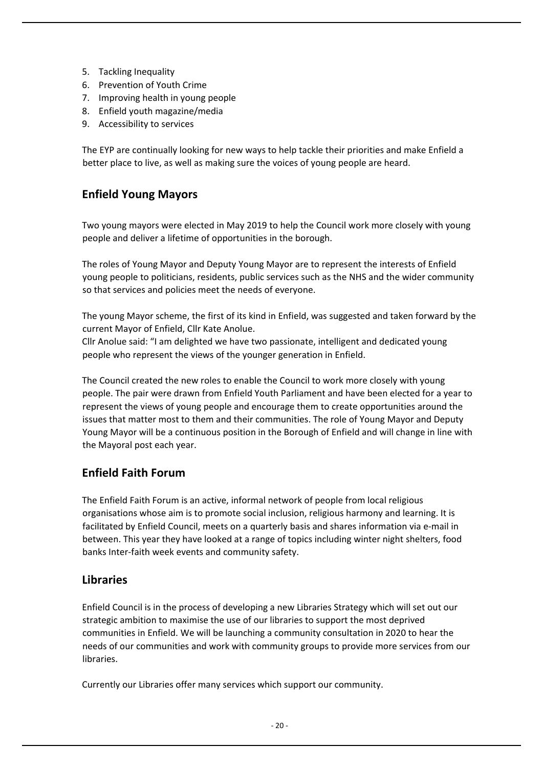- 5. Tackling Inequality
- 6. Prevention of Youth Crime
- 7. Improving health in young people
- 8. Enfield youth magazine/media
- 9. Accessibility to services

The EYP are continually looking for new ways to help tackle their priorities and make Enfield a better place to live, as well as making sure the voices of young people are heard.

#### **Enfield Young Mayors**

Two young mayors were elected in May 2019 to help the Council work more closely with young people and deliver a lifetime of opportunities in the borough.

The roles of Young Mayor and Deputy Young Mayor are to represent the interests of Enfield young people to politicians, residents, public services such as the NHS and the wider community so that services and policies meet the needs of everyone.

The young Mayor scheme, the first of its kind in Enfield, was suggested and taken forward by the current Mayor of Enfield, Cllr Kate Anolue.

Cllr Anolue said: "I am delighted we have two passionate, intelligent and dedicated young people who represent the views of the younger generation in Enfield.

The Council created the new roles to enable the Council to work more closely with young people. The pair were drawn from Enfield Youth Parliament and have been elected for a year to represent the views of young people and encourage them to create opportunities around the issues that matter most to them and their communities. The role of Young Mayor and Deputy Young Mayor will be a continuous position in the Borough of Enfield and will change in line with the Mayoral post each year.

### **Enfield Faith Forum**

The Enfield Faith Forum is an active, informal network of people from local religious organisations whose aim is to promote social inclusion, religious harmony and learning. It is facilitated by Enfield Council, meets on a quarterly basis and shares information via e-mail in between. This year they have looked at a range of topics including winter night shelters, food banks Inter-faith week events and community safety.

#### **Libraries**

Enfield Council is in the process of developing a new Libraries Strategy which will set out our strategic ambition to maximise the use of our libraries to support the most deprived communities in Enfield. We will be launching a community consultation in 2020 to hear the needs of our communities and work with community groups to provide more services from our libraries.

Currently our Libraries offer many services which support our community.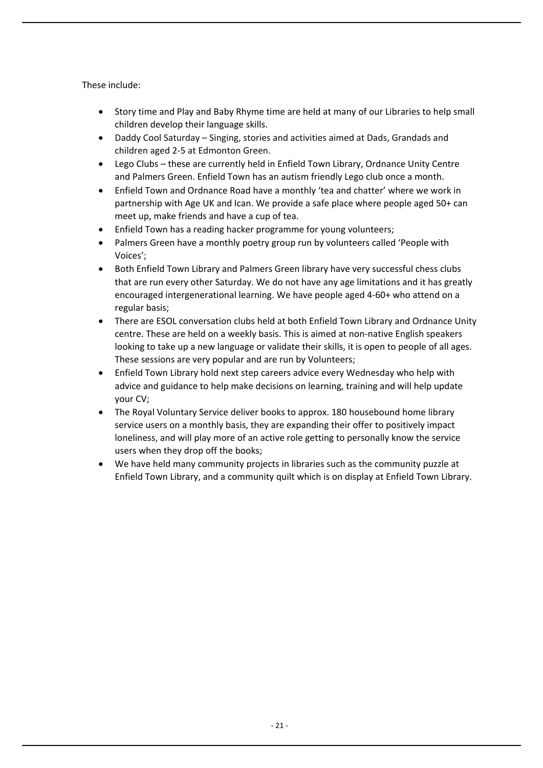These include:

- Story time and Play and Baby Rhyme time are held at many of our Libraries to help small children develop their language skills.
- Daddy Cool Saturday Singing, stories and activities aimed at Dads, Grandads and children aged 2-5 at Edmonton Green.
- Lego Clubs these are currently held in Enfield Town Library, Ordnance Unity Centre and Palmers Green. Enfield Town has an autism friendly Lego club once a month.
- Enfield Town and Ordnance Road have a monthly 'tea and chatter' where we work in partnership with Age UK and Ican. We provide a safe place where people aged 50+ can meet up, make friends and have a cup of tea.
- Enfield Town has a reading hacker programme for young volunteers;
- Palmers Green have a monthly poetry group run by volunteers called 'People with Voices';
- Both Enfield Town Library and Palmers Green library have very successful chess clubs that are run every other Saturday. We do not have any age limitations and it has greatly encouraged intergenerational learning. We have people aged 4-60+ who attend on a regular basis;
- There are ESOL conversation clubs held at both Enfield Town Library and Ordnance Unity centre. These are held on a weekly basis. This is aimed at non-native English speakers looking to take up a new language or validate their skills, it is open to people of all ages. These sessions are very popular and are run by Volunteers;
- Enfield Town Library hold next step careers advice every Wednesday who help with advice and guidance to help make decisions on learning, training and will help update your CV;
- The Royal Voluntary Service deliver books to approx. 180 housebound home library service users on a monthly basis, they are expanding their offer to positively impact loneliness, and will play more of an active role getting to personally know the service users when they drop off the books;
- We have held many community projects in libraries such as the community puzzle at Enfield Town Library, and a community quilt which is on display at Enfield Town Library.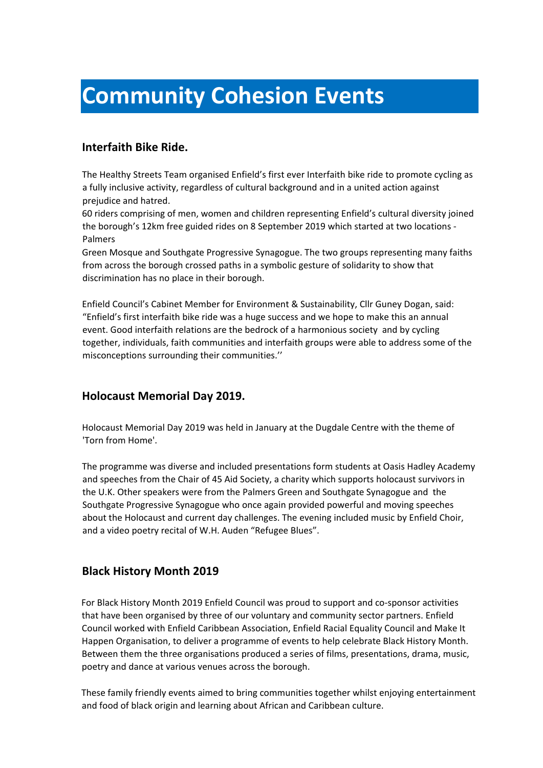## <span id="page-23-0"></span>**Community Cohesion Events**

#### **Interfaith Bike Ride.**

The Healthy Streets Team organised Enfield's first ever Interfaith bike ride to promote cycling as a fully inclusive activity, regardless of cultural background and in a united action against prejudice and hatred.

60 riders comprising of men, women and children representing Enfield's cultural diversity joined the borough's 12km free guided rides on 8 September 2019 which started at two locations - Palmers

Green Mosque and Southgate Progressive Synagogue. The two groups representing many faiths from across the borough crossed paths in a symbolic gesture of solidarity to show that discrimination has no place in their borough.

Enfield Council's Cabinet Member for Environment & Sustainability, Cllr Guney Dogan, said: "Enfield's first interfaith bike ride was a huge success and we hope to make this an annual event. Good interfaith relations are the bedrock of a harmonious society and by cycling together, individuals, faith communities and interfaith groups were able to address some of the misconceptions surrounding their communities.''

#### **Holocaust Memorial Day 2019.**

Holocaust Memorial Day 2019 was held in January at the Dugdale Centre with the theme of 'Torn from Home'.

The programme was diverse and included presentations form students at Oasis Hadley Academy and speeches from the Chair of 45 Aid Society, a charity which supports holocaust survivors in the U.K. Other speakers were from the Palmers Green and Southgate Synagogue and the Southgate Progressive Synagogue who once again provided powerful and moving speeches about the Holocaust and current day challenges. The evening included music by Enfield Choir, and a video poetry recital of W.H. Auden "Refugee Blues".

### **Black History Month 2019**

For Black History Month 2019 Enfield Council was proud to support and co-sponsor activities that have been organised by three of our voluntary and community sector partners. Enfield Council worked with Enfield Caribbean Association, Enfield Racial Equality Council and Make It Happen Organisation, to deliver a programme of events to help celebrate Black History Month. Between them the three organisations produced a series of films, presentations, drama, music, poetry and dance at various venues across the borough.

These family friendly events aimed to bring communities together whilst enjoying entertainment and food of black origin and learning about African and Caribbean culture.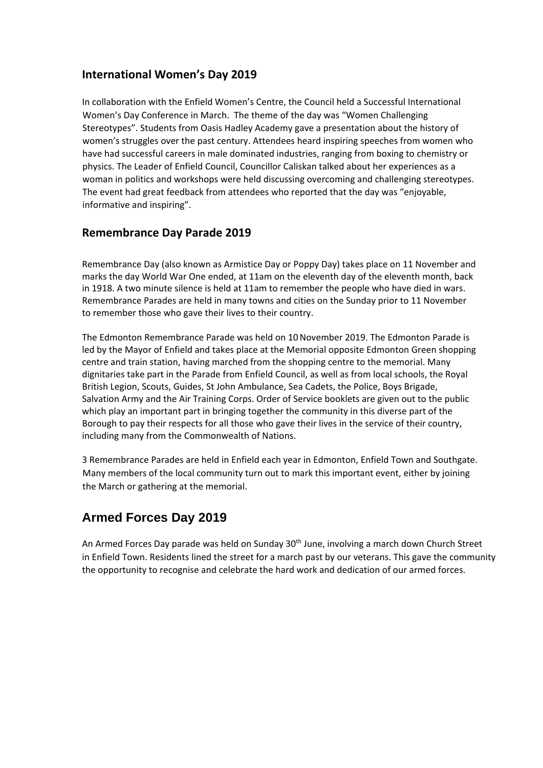#### **International Women's Day 2019**

In collaboration with the Enfield Women's Centre, the Council held a Successful International Women's Day Conference in March. The theme of the day was "Women Challenging Stereotypes". Students from Oasis Hadley Academy gave a presentation about the history of women's struggles over the past century. Attendees heard inspiring speeches from women who have had successful careers in male dominated industries, ranging from boxing to chemistry or physics. The Leader of Enfield Council, Councillor Caliskan talked about her experiences as a woman in politics and workshops were held discussing overcoming and challenging stereotypes. The event had great feedback from attendees who reported that the day was "enjoyable, informative and inspiring".

#### **Remembrance Day Parade 2019**

Remembrance Day (also known as Armistice Day or Poppy Day) takes place on 11 November and marks the day World War One ended, at 11am on the eleventh day of the eleventh month, back in 1918. A two minute silence is held at 11am to remember the people who have died in wars. Remembrance Parades are held in many towns and cities on the Sunday prior to 11 November to remember those who gave their lives to their country.

The Edmonton Remembrance Parade was held on 10November 2019. The Edmonton Parade is led by the Mayor of Enfield and takes place at the Memorial opposite Edmonton Green shopping centre and train station, having marched from the shopping centre to the memorial. Many dignitaries take part in the Parade from Enfield Council, as well as from local schools, the Royal British Legion, Scouts, Guides, St John Ambulance, Sea Cadets, the Police, Boys Brigade, Salvation Army and the Air Training Corps. Order of Service booklets are given out to the public which play an important part in bringing together the community in this diverse part of the Borough to pay their respects for all those who gave their lives in the service of their country, including many from the Commonwealth of Nations.

3 Remembrance Parades are held in Enfield each year in Edmonton, Enfield Town and Southgate. Many members of the local community turn out to mark this important event, either by joining the March or gathering at the memorial.

### **Armed Forces Day 2019**

An Armed Forces Day parade was held on Sunday 30<sup>th</sup> June, involving a march down Church Street in Enfield Town. Residents lined the street for a march past by our veterans. This gave the community the opportunity to recognise and celebrate the hard work and dedication of our armed forces.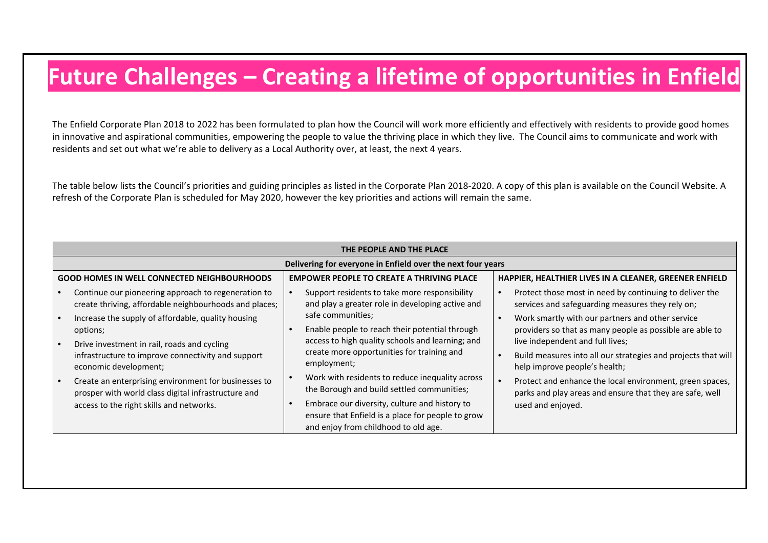## **Future Challenges – Creating a lifetime of opportunities in Enfield**

The Enfield Corporate Plan 2018 to 2022 has been formulated to plan how the Council will work more efficiently and effectively with residents to provide good homes in innovative and aspirational communities, empowering the people to value the thriving place in which they live. The Council aims to communicate and work with residents and set out what we're able to delivery as a Local Authority over, at least, the next 4 years.

The table below lists the Council's priorities and guiding principles as listed in the Corporate Plan 2018-2020. A copy of this plan is available on the Council Website. A refresh of the Corporate Plan is scheduled for May 2020, however the key priorities and actions will remain the same.

<span id="page-25-0"></span>

| THE PEOPLE AND THE PLACE                                    |                                                                                                                            |  |                                                                                                                                            |  |                                                                                                                                                  |  |  |  |  |
|-------------------------------------------------------------|----------------------------------------------------------------------------------------------------------------------------|--|--------------------------------------------------------------------------------------------------------------------------------------------|--|--------------------------------------------------------------------------------------------------------------------------------------------------|--|--|--|--|
| Delivering for everyone in Enfield over the next four years |                                                                                                                            |  |                                                                                                                                            |  |                                                                                                                                                  |  |  |  |  |
| <b>GOOD HOMES IN WELL CONNECTED NEIGHBOURHOODS</b>          |                                                                                                                            |  | <b>EMPOWER PEOPLE TO CREATE A THRIVING PLACE</b>                                                                                           |  | HAPPIER, HEALTHIER LIVES IN A CLEANER, GREENER ENFIELD                                                                                           |  |  |  |  |
|                                                             | Continue our pioneering approach to regeneration to<br>create thriving, affordable neighbourhoods and places;              |  | Support residents to take more responsibility<br>and play a greater role in developing active and                                          |  | Protect those most in need by continuing to deliver the<br>services and safeguarding measures they rely on;                                      |  |  |  |  |
|                                                             | Increase the supply of affordable, quality housing<br>options;                                                             |  | safe communities;<br>Enable people to reach their potential through<br>access to high quality schools and learning; and                    |  | Work smartly with our partners and other service<br>providers so that as many people as possible are able to<br>live independent and full lives; |  |  |  |  |
|                                                             | Drive investment in rail, roads and cycling<br>infrastructure to improve connectivity and support<br>economic development; |  | create more opportunities for training and<br>employment;                                                                                  |  | Build measures into all our strategies and projects that will<br>help improve people's health;                                                   |  |  |  |  |
|                                                             | Create an enterprising environment for businesses to<br>prosper with world class digital infrastructure and                |  | Work with residents to reduce inequality across<br>the Borough and build settled communities;                                              |  | Protect and enhance the local environment, green spaces,<br>parks and play areas and ensure that they are safe, well                             |  |  |  |  |
|                                                             | access to the right skills and networks.                                                                                   |  | Embrace our diversity, culture and history to<br>ensure that Enfield is a place for people to grow<br>and enjoy from childhood to old age. |  | used and enjoyed.                                                                                                                                |  |  |  |  |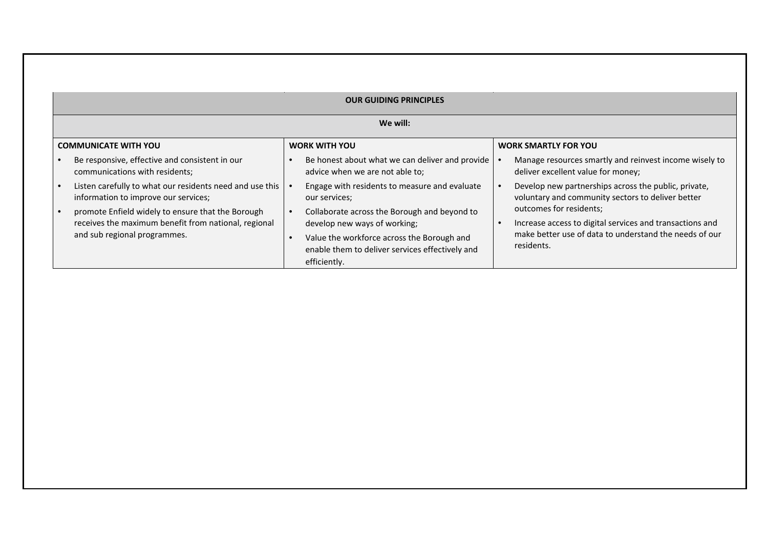|  | We will:                                                                                                                                  |                                                                                                               |                                                                                                           |  |  |  |  |  |  |  |
|--|-------------------------------------------------------------------------------------------------------------------------------------------|---------------------------------------------------------------------------------------------------------------|-----------------------------------------------------------------------------------------------------------|--|--|--|--|--|--|--|
|  | <b>COMMUNICATE WITH YOU</b>                                                                                                               | <b>WORK WITH YOU</b>                                                                                          | <b>WORK SMARTLY FOR YOU</b>                                                                               |  |  |  |  |  |  |  |
|  | Be responsive, effective and consistent in our<br>communications with residents;                                                          | Be honest about what we can deliver and provide<br>advice when we are not able to;                            | Manage resources smartly and reinvest income wisely to<br>deliver excellent value for money;              |  |  |  |  |  |  |  |
|  | Listen carefully to what our residents need and use this<br>information to improve our services;                                          | Engage with residents to measure and evaluate<br>our services;                                                | Develop new partnerships across the public, private,<br>voluntary and community sectors to deliver better |  |  |  |  |  |  |  |
|  | promote Enfield widely to ensure that the Borough<br>receives the maximum benefit from national, regional<br>and sub regional programmes. | Collaborate across the Borough and beyond to<br>develop new ways of working;                                  | outcomes for residents;<br>Increase access to digital services and transactions and                       |  |  |  |  |  |  |  |
|  |                                                                                                                                           | Value the workforce across the Borough and<br>enable them to deliver services effectively and<br>efficiently. | make better use of data to understand the needs of our<br>residents.                                      |  |  |  |  |  |  |  |